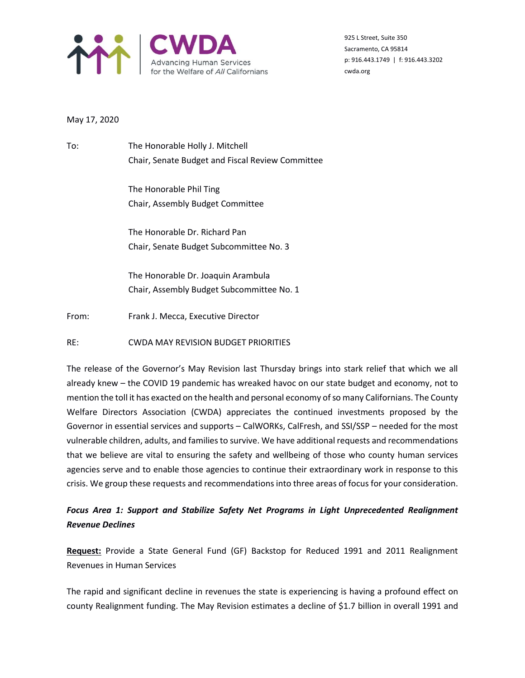

925 L Street, Suite 350 Sacramento, CA 95814 p: 916.443.1749 | f: 916.443.3202 cwda.org

## May 17, 2020

To: The Honorable Holly J. Mitchell Chair, Senate Budget and Fiscal Review Committee

> The Honorable Phil Ting Chair, Assembly Budget Committee

The Honorable Dr. Richard Pan Chair, Senate Budget Subcommittee No. 3

The Honorable Dr. Joaquin Arambula Chair, Assembly Budget Subcommittee No. 1

From: Frank J. Mecca, Executive Director

RE: CWDA MAY REVISION BUDGET PRIORITIES

The release of the Governor's May Revision last Thursday brings into stark relief that which we all already knew – the COVID 19 pandemic has wreaked havoc on our state budget and economy, not to mention the toll it has exacted on the health and personal economy of so many Californians. The County Welfare Directors Association (CWDA) appreciates the continued investments proposed by the Governor in essential services and supports – CalWORKs, CalFresh, and SSI/SSP – needed for the most vulnerable children, adults, and families to survive. We have additional requests and recommendations that we believe are vital to ensuring the safety and wellbeing of those who county human services agencies serve and to enable those agencies to continue their extraordinary work in response to this crisis. We group these requests and recommendations into three areas of focus for your consideration.

# *Focus Area 1: Support and Stabilize Safety Net Programs in Light Unprecedented Realignment Revenue Declines*

**Request:** Provide a State General Fund (GF) Backstop for Reduced 1991 and 2011 Realignment Revenues in Human Services

The rapid and significant decline in revenues the state is experiencing is having a profound effect on county Realignment funding. The May Revision estimates a decline of \$1.7 billion in overall 1991 and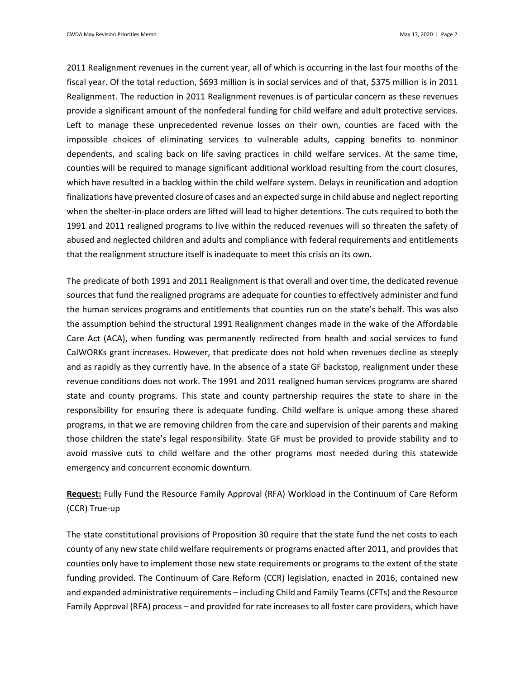2011 Realignment revenues in the current year, all of which is occurring in the last four months of the fiscal year. Of the total reduction, \$693 million is in social services and of that, \$375 million is in 2011 Realignment. The reduction in 2011 Realignment revenues is of particular concern as these revenues provide a significant amount of the nonfederal funding for child welfare and adult protective services. Left to manage these unprecedented revenue losses on their own, counties are faced with the impossible choices of eliminating services to vulnerable adults, capping benefits to nonminor dependents, and scaling back on life saving practices in child welfare services. At the same time, counties will be required to manage significant additional workload resulting from the court closures, which have resulted in a backlog within the child welfare system. Delays in reunification and adoption finalizations have prevented closure of cases and an expected surge in child abuse and neglect reporting when the shelter-in-place orders are lifted will lead to higher detentions. The cuts required to both the 1991 and 2011 realigned programs to live within the reduced revenues will so threaten the safety of abused and neglected children and adults and compliance with federal requirements and entitlements that the realignment structure itself is inadequate to meet this crisis on its own.

The predicate of both 1991 and 2011 Realignment is that overall and over time, the dedicated revenue sources that fund the realigned programs are adequate for counties to effectively administer and fund the human services programs and entitlements that counties run on the state's behalf. This was also the assumption behind the structural 1991 Realignment changes made in the wake of the Affordable Care Act (ACA), when funding was permanently redirected from health and social services to fund CalWORKs grant increases. However, that predicate does not hold when revenues decline as steeply and as rapidly as they currently have. In the absence of a state GF backstop, realignment under these revenue conditions does not work. The 1991 and 2011 realigned human services programs are shared state and county programs. This state and county partnership requires the state to share in the responsibility for ensuring there is adequate funding. Child welfare is unique among these shared programs, in that we are removing children from the care and supervision of their parents and making those children the state's legal responsibility. State GF must be provided to provide stability and to avoid massive cuts to child welfare and the other programs most needed during this statewide emergency and concurrent economic downturn.

**Request:** Fully Fund the Resource Family Approval (RFA) Workload in the Continuum of Care Reform (CCR) True-up

The state constitutional provisions of Proposition 30 require that the state fund the net costs to each county of any new state child welfare requirements or programs enacted after 2011, and provides that counties only have to implement those new state requirements or programs to the extent of the state funding provided. The Continuum of Care Reform (CCR) legislation, enacted in 2016, contained new and expanded administrative requirements – including Child and Family Teams (CFTs) and the Resource Family Approval (RFA) process – and provided for rate increases to all foster care providers, which have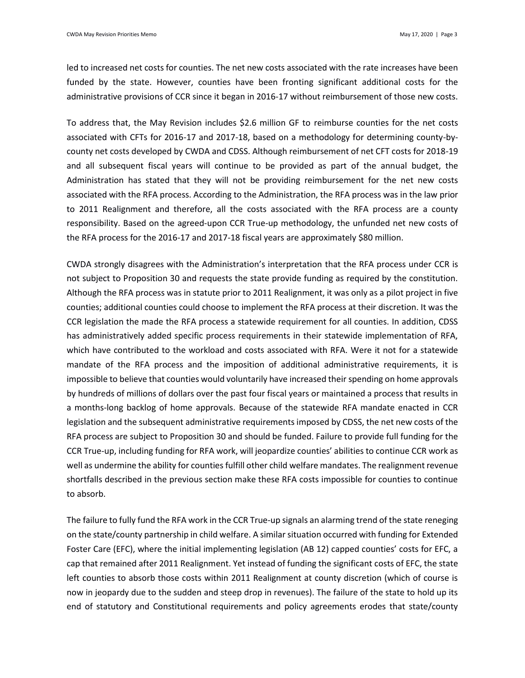led to increased net costs for counties. The net new costs associated with the rate increases have been funded by the state. However, counties have been fronting significant additional costs for the administrative provisions of CCR since it began in 2016-17 without reimbursement of those new costs.

To address that, the May Revision includes \$2.6 million GF to reimburse counties for the net costs associated with CFTs for 2016-17 and 2017-18, based on a methodology for determining county-bycounty net costs developed by CWDA and CDSS. Although reimbursement of net CFT costs for 2018-19 and all subsequent fiscal years will continue to be provided as part of the annual budget, the Administration has stated that they will not be providing reimbursement for the net new costs associated with the RFA process. According to the Administration, the RFA process was in the law prior to 2011 Realignment and therefore, all the costs associated with the RFA process are a county responsibility. Based on the agreed-upon CCR True-up methodology, the unfunded net new costs of the RFA process for the 2016-17 and 2017-18 fiscal years are approximately \$80 million.

CWDA strongly disagrees with the Administration's interpretation that the RFA process under CCR is not subject to Proposition 30 and requests the state provide funding as required by the constitution. Although the RFA process was in statute prior to 2011 Realignment, it was only as a pilot project in five counties; additional counties could choose to implement the RFA process at their discretion. It was the CCR legislation the made the RFA process a statewide requirement for all counties. In addition, CDSS has administratively added specific process requirements in their statewide implementation of RFA, which have contributed to the workload and costs associated with RFA. Were it not for a statewide mandate of the RFA process and the imposition of additional administrative requirements, it is impossible to believe that counties would voluntarily have increased their spending on home approvals by hundreds of millions of dollars over the past four fiscal years or maintained a process that results in a months-long backlog of home approvals. Because of the statewide RFA mandate enacted in CCR legislation and the subsequent administrative requirements imposed by CDSS, the net new costs of the RFA process are subject to Proposition 30 and should be funded. Failure to provide full funding for the CCR True-up, including funding for RFA work, will jeopardize counties' abilities to continue CCR work as well as undermine the ability for counties fulfill other child welfare mandates. The realignment revenue shortfalls described in the previous section make these RFA costs impossible for counties to continue to absorb.

The failure to fully fund the RFA work in the CCR True-up signals an alarming trend of the state reneging on the state/county partnership in child welfare. A similar situation occurred with funding for Extended Foster Care (EFC), where the initial implementing legislation (AB 12) capped counties' costs for EFC, a cap that remained after 2011 Realignment. Yet instead of funding the significant costs of EFC, the state left counties to absorb those costs within 2011 Realignment at county discretion (which of course is now in jeopardy due to the sudden and steep drop in revenues). The failure of the state to hold up its end of statutory and Constitutional requirements and policy agreements erodes that state/county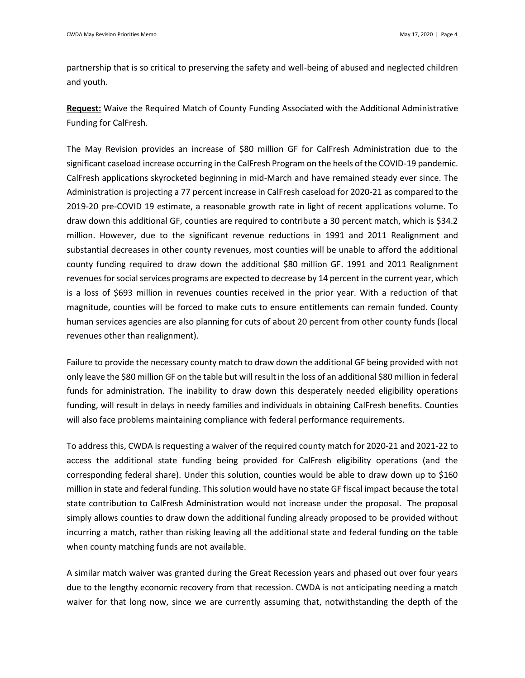partnership that is so critical to preserving the safety and well-being of abused and neglected children and youth.

**Request:** Waive the Required Match of County Funding Associated with the Additional Administrative Funding for CalFresh.

The May Revision provides an increase of \$80 million GF for CalFresh Administration due to the significant caseload increase occurring in the CalFresh Program on the heels of the COVID-19 pandemic. CalFresh applications skyrocketed beginning in mid-March and have remained steady ever since. The Administration is projecting a 77 percent increase in CalFresh caseload for 2020-21 as compared to the 2019-20 pre-COVID 19 estimate, a reasonable growth rate in light of recent applications volume. To draw down this additional GF, counties are required to contribute a 30 percent match, which is \$34.2 million. However, due to the significant revenue reductions in 1991 and 2011 Realignment and substantial decreases in other county revenues, most counties will be unable to afford the additional county funding required to draw down the additional \$80 million GF. 1991 and 2011 Realignment revenues for social services programs are expected to decrease by 14 percent in the current year, which is a loss of \$693 million in revenues counties received in the prior year. With a reduction of that magnitude, counties will be forced to make cuts to ensure entitlements can remain funded. County human services agencies are also planning for cuts of about 20 percent from other county funds (local revenues other than realignment).

Failure to provide the necessary county match to draw down the additional GF being provided with not only leave the \$80 million GF on the table but will result in the loss of an additional \$80 million in federal funds for administration. The inability to draw down this desperately needed eligibility operations funding, will result in delays in needy families and individuals in obtaining CalFresh benefits. Counties will also face problems maintaining compliance with federal performance requirements.

To address this, CWDA is requesting a waiver of the required county match for 2020-21 and 2021-22 to access the additional state funding being provided for CalFresh eligibility operations (and the corresponding federal share). Under this solution, counties would be able to draw down up to \$160 million in state and federal funding. This solution would have no state GF fiscal impact because the total state contribution to CalFresh Administration would not increase under the proposal. The proposal simply allows counties to draw down the additional funding already proposed to be provided without incurring a match, rather than risking leaving all the additional state and federal funding on the table when county matching funds are not available.

A similar match waiver was granted during the Great Recession years and phased out over four years due to the lengthy economic recovery from that recession. CWDA is not anticipating needing a match waiver for that long now, since we are currently assuming that, notwithstanding the depth of the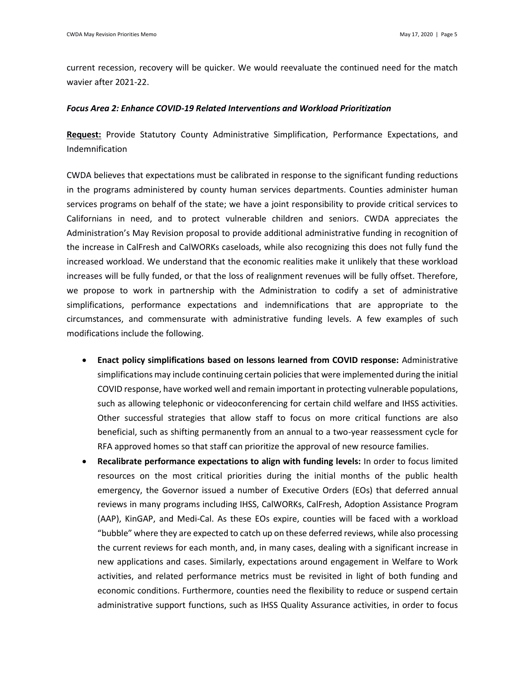current recession, recovery will be quicker. We would reevaluate the continued need for the match wavier after 2021-22.

## *Focus Area 2: Enhance COVID-19 Related Interventions and Workload Prioritization*

**Request:** Provide Statutory County Administrative Simplification, Performance Expectations, and Indemnification

CWDA believes that expectations must be calibrated in response to the significant funding reductions in the programs administered by county human services departments. Counties administer human services programs on behalf of the state; we have a joint responsibility to provide critical services to Californians in need, and to protect vulnerable children and seniors. CWDA appreciates the Administration's May Revision proposal to provide additional administrative funding in recognition of the increase in CalFresh and CalWORKs caseloads, while also recognizing this does not fully fund the increased workload. We understand that the economic realities make it unlikely that these workload increases will be fully funded, or that the loss of realignment revenues will be fully offset. Therefore, we propose to work in partnership with the Administration to codify a set of administrative simplifications, performance expectations and indemnifications that are appropriate to the circumstances, and commensurate with administrative funding levels. A few examples of such modifications include the following.

- **Enact policy simplifications based on lessons learned from COVID response:** Administrative simplifications may include continuing certain policies that were implemented during the initial COVID response, have worked well and remain important in protecting vulnerable populations, such as allowing telephonic or videoconferencing for certain child welfare and IHSS activities. Other successful strategies that allow staff to focus on more critical functions are also beneficial, such as shifting permanently from an annual to a two-year reassessment cycle for RFA approved homes so that staff can prioritize the approval of new resource families.
- **Recalibrate performance expectations to align with funding levels:** In order to focus limited resources on the most critical priorities during the initial months of the public health emergency, the Governor issued a number of Executive Orders (EOs) that deferred annual reviews in many programs including IHSS, CalWORKs, CalFresh, Adoption Assistance Program (AAP), KinGAP, and Medi-Cal. As these EOs expire, counties will be faced with a workload "bubble" where they are expected to catch up on these deferred reviews, while also processing the current reviews for each month, and, in many cases, dealing with a significant increase in new applications and cases. Similarly, expectations around engagement in Welfare to Work activities, and related performance metrics must be revisited in light of both funding and economic conditions. Furthermore, counties need the flexibility to reduce or suspend certain administrative support functions, such as IHSS Quality Assurance activities, in order to focus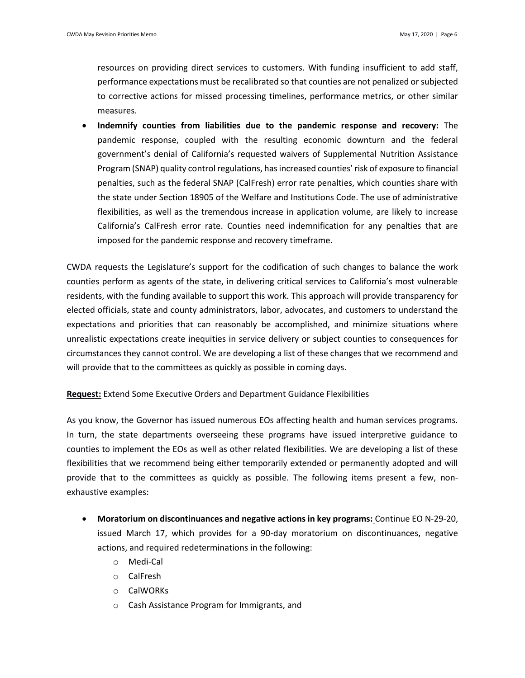resources on providing direct services to customers. With funding insufficient to add staff, performance expectations must be recalibrated so that counties are not penalized or subjected to corrective actions for missed processing timelines, performance metrics, or other similar measures.

• **Indemnify counties from liabilities due to the pandemic response and recovery:** The pandemic response, coupled with the resulting economic downturn and the federal government's denial of California's requested waivers of Supplemental Nutrition Assistance Program (SNAP) quality control regulations, has increased counties' risk of exposure to financial penalties, such as the federal SNAP (CalFresh) error rate penalties, which counties share with the state under Section 18905 of the Welfare and Institutions Code. The use of administrative flexibilities, as well as the tremendous increase in application volume, are likely to increase California's CalFresh error rate. Counties need indemnification for any penalties that are imposed for the pandemic response and recovery timeframe.

CWDA requests the Legislature's support for the codification of such changes to balance the work counties perform as agents of the state, in delivering critical services to California's most vulnerable residents, with the funding available to support this work. This approach will provide transparency for elected officials, state and county administrators, labor, advocates, and customers to understand the expectations and priorities that can reasonably be accomplished, and minimize situations where unrealistic expectations create inequities in service delivery or subject counties to consequences for circumstances they cannot control. We are developing a list of these changes that we recommend and will provide that to the committees as quickly as possible in coming days.

**Request:** Extend Some Executive Orders and Department Guidance Flexibilities

As you know, the Governor has issued numerous EOs affecting health and human services programs. In turn, the state departments overseeing these programs have issued interpretive guidance to counties to implement the EOs as well as other related flexibilities. We are developing a list of these flexibilities that we recommend being either temporarily extended or permanently adopted and will provide that to the committees as quickly as possible. The following items present a few, nonexhaustive examples:

- **Moratorium on discontinuances and negative actions in key programs:** Continue EO N-29-20, issued March 17, which provides for a 90-day moratorium on discontinuances, negative actions, and required redeterminations in the following:
	- o Medi-Cal
	- o CalFresh
	- o CalWORKs
	- o Cash Assistance Program for Immigrants, and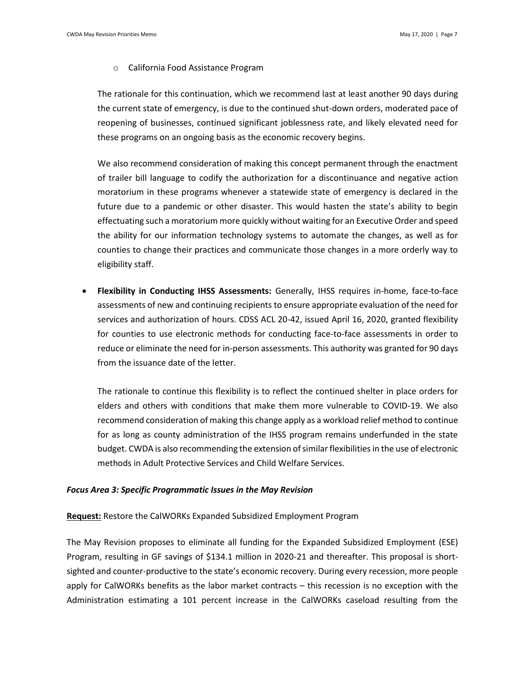o California Food Assistance Program

The rationale for this continuation, which we recommend last at least another 90 days during the current state of emergency, is due to the continued shut-down orders, moderated pace of reopening of businesses, continued significant joblessness rate, and likely elevated need for these programs on an ongoing basis as the economic recovery begins.

We also recommend consideration of making this concept permanent through the enactment of trailer bill language to codify the authorization for a discontinuance and negative action moratorium in these programs whenever a statewide state of emergency is declared in the future due to a pandemic or other disaster. This would hasten the state's ability to begin effectuating such a moratorium more quickly without waiting for an Executive Order and speed the ability for our information technology systems to automate the changes, as well as for counties to change their practices and communicate those changes in a more orderly way to eligibility staff.

• **Flexibility in Conducting IHSS Assessments:** Generally, IHSS requires in-home, face-to-face assessments of new and continuing recipients to ensure appropriate evaluation of the need for services and authorization of hours. CDSS ACL 20-42, issued April 16, 2020, granted flexibility for counties to use electronic methods for conducting face-to-face assessments in order to reduce or eliminate the need for in-person assessments. This authority was granted for 90 days from the issuance date of the letter.

The rationale to continue this flexibility is to reflect the continued shelter in place orders for elders and others with conditions that make them more vulnerable to COVID-19. We also recommend consideration of making this change apply as a workload relief method to continue for as long as county administration of the IHSS program remains underfunded in the state budget. CWDA is also recommending the extension of similar flexibilities in the use of electronic methods in Adult Protective Services and Child Welfare Services.

### *Focus Area 3: Specific Programmatic Issues in the May Revision*

**Request:** Restore the CalWORKs Expanded Subsidized Employment Program

The May Revision proposes to eliminate all funding for the Expanded Subsidized Employment (ESE) Program, resulting in GF savings of \$134.1 million in 2020-21 and thereafter. This proposal is shortsighted and counter-productive to the state's economic recovery. During every recession, more people apply for CalWORKs benefits as the labor market contracts – this recession is no exception with the Administration estimating a 101 percent increase in the CalWORKs caseload resulting from the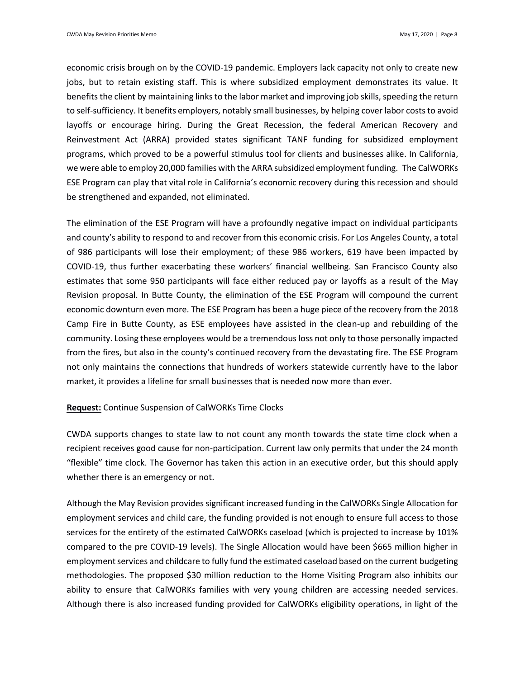economic crisis brough on by the COVID-19 pandemic. Employers lack capacity not only to create new jobs, but to retain existing staff. This is where subsidized employment demonstrates its value. It benefits the client by maintaining links to the labor market and improving job skills, speeding the return to self-sufficiency. It benefits employers, notably small businesses, by helping cover labor costs to avoid layoffs or encourage hiring. During the Great Recession, the federal American Recovery and Reinvestment Act (ARRA) provided states significant TANF funding for subsidized employment programs, which proved to be a powerful stimulus tool for clients and businesses alike. In California, we were able to employ 20,000 families with the ARRA subsidized employment funding. The CalWORKs ESE Program can play that vital role in California's economic recovery during this recession and should be strengthened and expanded, not eliminated.

The elimination of the ESE Program will have a profoundly negative impact on individual participants and county's ability to respond to and recover from this economic crisis. For Los Angeles County, a total of 986 participants will lose their employment; of these 986 workers, 619 have been impacted by COVID-19, thus further exacerbating these workers' financial wellbeing. San Francisco County also estimates that some 950 participants will face either reduced pay or layoffs as a result of the May Revision proposal. In Butte County, the elimination of the ESE Program will compound the current economic downturn even more. The ESE Program has been a huge piece of the recovery from the 2018 Camp Fire in Butte County, as ESE employees have assisted in the clean-up and rebuilding of the community. Losing these employees would be a tremendous loss not only to those personally impacted from the fires, but also in the county's continued recovery from the devastating fire. The ESE Program not only maintains the connections that hundreds of workers statewide currently have to the labor market, it provides a lifeline for small businesses that is needed now more than ever.

#### **Request:** Continue Suspension of CalWORKs Time Clocks

CWDA supports changes to state law to not count any month towards the state time clock when a recipient receives good cause for non-participation. Current law only permits that under the 24 month "flexible" time clock. The Governor has taken this action in an executive order, but this should apply whether there is an emergency or not.

Although the May Revision provides significant increased funding in the CalWORKs Single Allocation for employment services and child care, the funding provided is not enough to ensure full access to those services for the entirety of the estimated CalWORKs caseload (which is projected to increase by 101% compared to the pre COVID-19 levels). The Single Allocation would have been \$665 million higher in employment services and childcare to fully fund the estimated caseload based on the current budgeting methodologies. The proposed \$30 million reduction to the Home Visiting Program also inhibits our ability to ensure that CalWORKs families with very young children are accessing needed services. Although there is also increased funding provided for CalWORKs eligibility operations, in light of the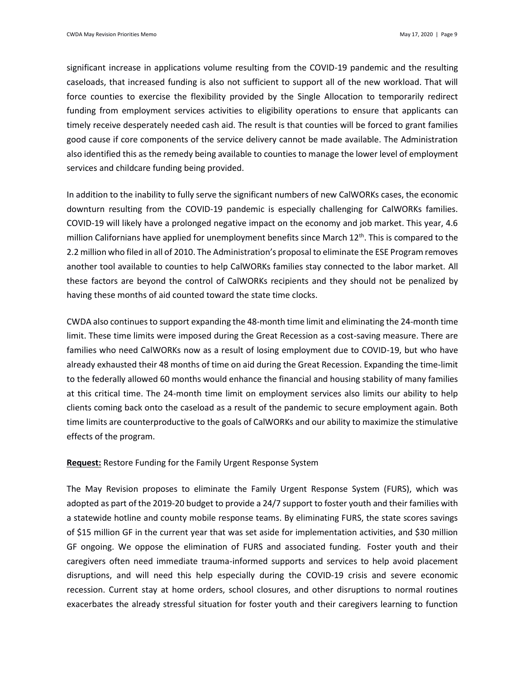significant increase in applications volume resulting from the COVID-19 pandemic and the resulting caseloads, that increased funding is also not sufficient to support all of the new workload. That will force counties to exercise the flexibility provided by the Single Allocation to temporarily redirect funding from employment services activities to eligibility operations to ensure that applicants can timely receive desperately needed cash aid. The result is that counties will be forced to grant families good cause if core components of the service delivery cannot be made available. The Administration also identified this as the remedy being available to counties to manage the lower level of employment services and childcare funding being provided.

In addition to the inability to fully serve the significant numbers of new CalWORKs cases, the economic downturn resulting from the COVID-19 pandemic is especially challenging for CalWORKs families. COVID-19 will likely have a prolonged negative impact on the economy and job market. This year, 4.6 million Californians have applied for unemployment benefits since March  $12^{th}$ . This is compared to the 2.2 million who filed in all of 2010. The Administration's proposal to eliminate the ESE Program removes another tool available to counties to help CalWORKs families stay connected to the labor market. All these factors are beyond the control of CalWORKs recipients and they should not be penalized by having these months of aid counted toward the state time clocks.

CWDA also continues to support expanding the 48-month time limit and eliminating the 24-month time limit. These time limits were imposed during the Great Recession as a cost-saving measure. There are families who need CalWORKs now as a result of losing employment due to COVID-19, but who have already exhausted their 48 months of time on aid during the Great Recession. Expanding the time-limit to the federally allowed 60 months would enhance the financial and housing stability of many families at this critical time. The 24-month time limit on employment services also limits our ability to help clients coming back onto the caseload as a result of the pandemic to secure employment again. Both time limits are counterproductive to the goals of CalWORKs and our ability to maximize the stimulative effects of the program.

#### **Request:** Restore Funding for the Family Urgent Response System

The May Revision proposes to eliminate the Family Urgent Response System (FURS), which was adopted as part of the 2019-20 budget to provide a 24/7 support to foster youth and their families with a statewide hotline and county mobile response teams. By eliminating FURS, the state scores savings of \$15 million GF in the current year that was set aside for implementation activities, and \$30 million GF ongoing. We oppose the elimination of FURS and associated funding. Foster youth and their caregivers often need immediate trauma-informed supports and services to help avoid placement disruptions, and will need this help especially during the COVID-19 crisis and severe economic recession. Current stay at home orders, school closures, and other disruptions to normal routines exacerbates the already stressful situation for foster youth and their caregivers learning to function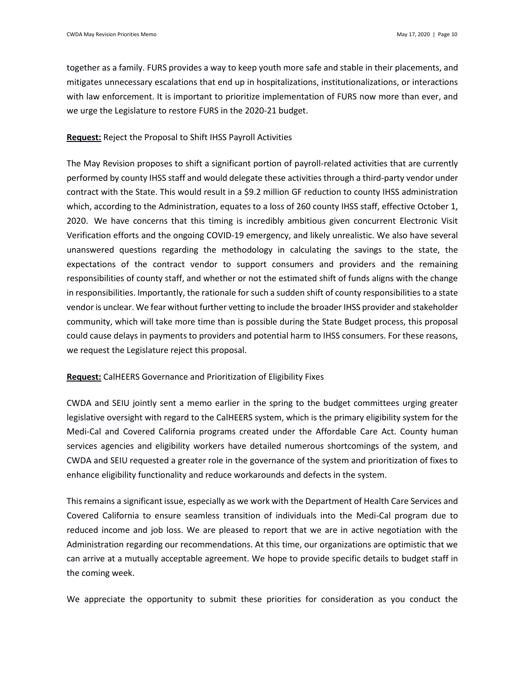together as a family. FURS provides a way to keep youth more safe and stable in their placements, and mitigates unnecessary escalations that end up in hospitalizations, institutionalizations, or interactions with law enforcement. It is important to prioritize implementation of FURS now more than ever, and we urge the Legislature to restore FURS in the 2020-21 budget.

## **Request:** Reject the Proposal to Shift IHSS Payroll Activities

The May Revision proposes to shift a significant portion of payroll-related activities that are currently performed by county IHSS staff and would delegate these activities through a third-party vendor under contract with the State. This would result in a \$9.2 million GF reduction to county IHSS administration which, according to the Administration, equates to a loss of 260 county IHSS staff, effective October 1, 2020. We have concerns that this timing is incredibly ambitious given concurrent Electronic Visit Verification efforts and the ongoing COVID-19 emergency, and likely unrealistic. We also have several unanswered questions regarding the methodology in calculating the savings to the state, the expectations of the contract vendor to support consumers and providers and the remaining responsibilities of county staff, and whether or not the estimated shift of funds aligns with the change in responsibilities. Importantly, the rationale for such a sudden shift of county responsibilities to a state vendor is unclear. We fear without further vetting to include the broader IHSS provider and stakeholder community, which will take more time than is possible during the State Budget process, this proposal could cause delays in payments to providers and potential harm to IHSS consumers. For these reasons, we request the Legislature reject this proposal.

## **Request:** CalHEERS Governance and Prioritization of Eligibility Fixes

CWDA and SEIU jointly sent a memo earlier in the spring to the budget committees urging greater legislative oversight with regard to the CalHEERS system, which is the primary eligibility system for the Medi-Cal and Covered California programs created under the Affordable Care Act. County human services agencies and eligibility workers have detailed numerous shortcomings of the system, and CWDA and SEIU requested a greater role in the governance of the system and prioritization of fixes to enhance eligibility functionality and reduce workarounds and defects in the system.

This remains a significant issue, especially as we work with the Department of Health Care Services and Covered California to ensure seamless transition of individuals into the Medi-Cal program due to reduced income and job loss. We are pleased to report that we are in active negotiation with the Administration regarding our recommendations. At this time, our organizations are optimistic that we can arrive at a mutually acceptable agreement. We hope to provide specific details to budget staff in the coming week.

We appreciate the opportunity to submit these priorities for consideration as you conduct the